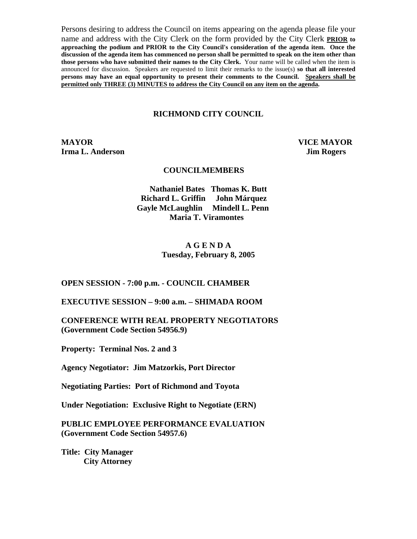Persons desiring to address the Council on items appearing on the agenda please file your name and address with the City Clerk on the form provided by the City Clerk **PRIOR to approaching the podium and PRIOR to the City Council's consideration of the agenda item. Once the discussion of the agenda item has commenced no person shall be permitted to speak on the item other than those persons who have submitted their names to the City Clerk.** Your name will be called when the item is announced for discussion. Speakers are requested to limit their remarks to the issue(s) **so that all interested persons may have an equal opportunity to present their comments to the Council. Speakers shall be permitted only THREE (3) MINUTES to address the City Council on any item on the agenda.**

#### **RICHMOND CITY COUNCIL**

**MAYOR VICE MAYOR Irma L. Anderson Jim Rogers** 

#### **COUNCILMEMBERS**

**Nathaniel Bates Thomas K. Butt Richard L. Griffin John Márquez Gayle McLaughlin Mindell L. Penn Maria T. Viramontes** 

## **A G E N D A Tuesday, February 8, 2005**

**OPEN SESSION - 7:00 p.m. - COUNCIL CHAMBER** 

**EXECUTIVE SESSION – 9:00 a.m. – SHIMADA ROOM** 

**CONFERENCE WITH REAL PROPERTY NEGOTIATORS (Government Code Section 54956.9)** 

**Property: Terminal Nos. 2 and 3** 

**Agency Negotiator: Jim Matzorkis, Port Director** 

**Negotiating Parties: Port of Richmond and Toyota** 

**Under Negotiation: Exclusive Right to Negotiate (ERN)** 

**PUBLIC EMPLOYEE PERFORMANCE EVALUATION (Government Code Section 54957.6)** 

**Title: City Manager City Attorney**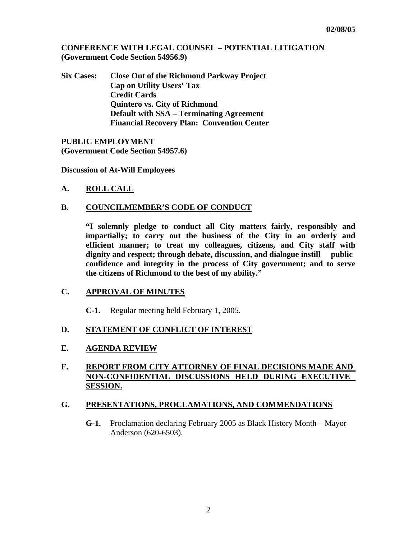**CONFERENCE WITH LEGAL COUNSEL – POTENTIAL LITIGATION (Government Code Section 54956.9)** 

**Six Cases: Close Out of the Richmond Parkway Project Cap on Utility Users' Tax Credit Cards Quintero vs. City of Richmond Default with SSA – Terminating Agreement Financial Recovery Plan: Convention Center** 

**PUBLIC EMPLOYMENT (Government Code Section 54957.6)** 

**Discussion of At-Will Employees** 

**A. ROLL CALL**

## **B. COUNCILMEMBER'S CODE OF CONDUCT**

 **"I solemnly pledge to conduct all City matters fairly, responsibly and impartially; to carry out the business of the City in an orderly and efficient manner; to treat my colleagues, citizens, and City staff with dignity and respect; through debate, discussion, and dialogue instill public confidence and integrity in the process of City government; and to serve the citizens of Richmond to the best of my ability."** 

## **C. APPROVAL OF MINUTES**

**C-1.** Regular meeting held February 1, 2005.

## **D. STATEMENT OF CONFLICT OF INTEREST**

#### **E. AGENDA REVIEW**

# **F. REPORT FROM CITY ATTORNEY OF FINAL DECISIONS MADE AND NON-CONFIDENTIAL DISCUSSIONS HELD DURING EXECUTIVE SESSION.**

#### **G. PRESENTATIONS, PROCLAMATIONS, AND COMMENDATIONS**

**G-1.** Proclamation declaring February 2005 as Black History Month – Mayor Anderson (620-6503).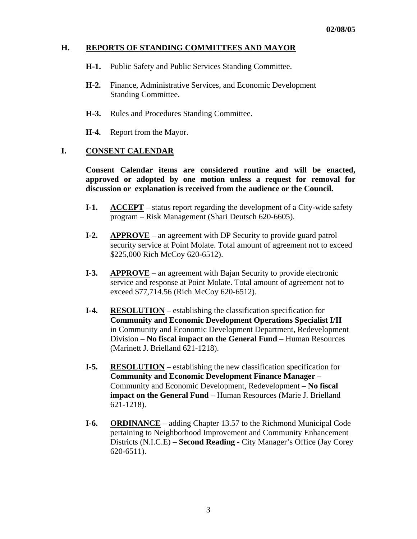## **H. REPORTS OF STANDING COMMITTEES AND MAYOR**

- **H-1.** Public Safety and Public Services Standing Committee.
- **H-2.** Finance, Administrative Services, and Economic Development Standing Committee.
- **H-3.** Rules and Procedures Standing Committee.
- **H-4.** Report from the Mayor.

## **I. CONSENT CALENDAR**

 **Consent Calendar items are considered routine and will be enacted, approved or adopted by one motion unless a request for removal for discussion or explanation is received from the audience or the Council.** 

- **I-1.** ACCEPT status report regarding the development of a City-wide safety program – Risk Management (Shari Deutsch 620-6605).
- **I-2.** APPROVE an agreement with DP Security to provide guard patrol security service at Point Molate. Total amount of agreement not to exceed \$225,000 Rich McCoy 620-6512).
- **I-3. APPROVE** an agreement with Bajan Security to provide electronic service and response at Point Molate. Total amount of agreement not to exceed \$77,714.56 (Rich McCoy 620-6512).
- **I-4. RESOLUTION** establishing the classification specification for **Community and Economic Development Operations Specialist I/II**  in Community and Economic Development Department, Redevelopment Division – **No fiscal impact on the General Fund** – Human Resources (Marinett J. Brielland 621-1218).
- **I-5. RESOLUTION** establishing the new classification specification for **Community and Economic Development Finance Manager** – Community and Economic Development, Redevelopment – **No fiscal impact on the General Fund** – Human Resources (Marie J. Brielland 621-1218).
- **I-6. ORDINANCE** adding Chapter 13.57 to the Richmond Municipal Code pertaining to Neighborhood Improvement and Community Enhancement Districts (N.I.C.E) – **Second Reading -** City Manager's Office (Jay Corey 620-6511).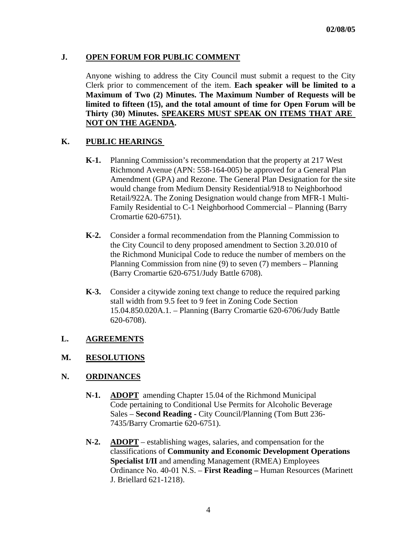# **J. OPEN FORUM FOR PUBLIC COMMENT**

Anyone wishing to address the City Council must submit a request to the City Clerk prior to commencement of the item. **Each speaker will be limited to a Maximum of Two (2) Minutes. The Maximum Number of Requests will be limited to fifteen (15), and the total amount of time for Open Forum will be Thirty (30) Minutes. SPEAKERS MUST SPEAK ON ITEMS THAT ARE NOT ON THE AGENDA.** 

# **K. PUBLIC HEARINGS**

- **K-1.** Planning Commission's recommendation that the property at 217 West Richmond Avenue (APN: 558-164-005) be approved for a General Plan Amendment (GPA) and Rezone. The General Plan Designation for the site would change from Medium Density Residential/918 to Neighborhood Retail/922A. The Zoning Designation would change from MFR-1 Multi- Family Residential to C-1 Neighborhood Commercial – Planning (Barry Cromartie 620-6751).
- **K-2.** Consider a formal recommendation from the Planning Commission to the City Council to deny proposed amendment to Section 3.20.010 of the Richmond Municipal Code to reduce the number of members on the Planning Commission from nine (9) to seven (7) members – Planning (Barry Cromartie 620-6751/Judy Battle 6708).
- **K-3.** Consider a citywide zoning text change to reduce the required parking stall width from 9.5 feet to 9 feet in Zoning Code Section 15.04.850.020A.1. – Planning (Barry Cromartie 620-6706/Judy Battle 620-6708).

## **L. AGREEMENTS**

## **M. RESOLUTIONS**

## **N. ORDINANCES**

- **N-1. ADOPT** amending Chapter 15.04 of the Richmond Municipal Code pertaining to Conditional Use Permits for Alcoholic Beverage Sales – **Second Reading -** City Council/Planning (Tom Butt 236- 7435/Barry Cromartie 620-6751).
- **N-2. ADOPT** establishing wages, salaries, and compensation for the classifications of **Community and Economic Development Operations Specialist I/II** and amending Management (RMEA) Employees Ordinance No. 40-01 N.S. – **First Reading –** Human Resources (Marinett J. Briellard 621-1218).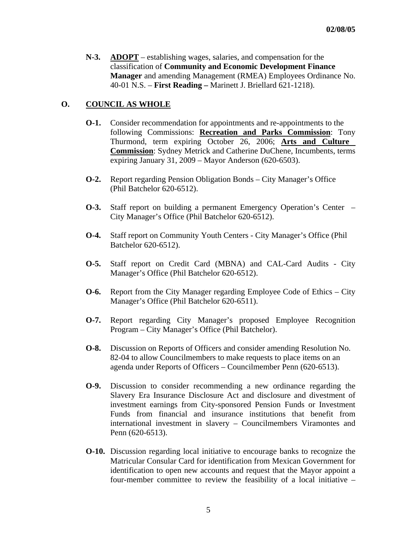**N-3. ADOPT** – establishing wages, salaries, and compensation for the classification of **Community and Economic Development Finance Manager** and amending Management (RMEA) Employees Ordinance No. 40-01 N.S. – **First Reading –** Marinett J. Briellard 621-1218).

## **O. COUNCIL AS WHOLE**

- **O-1.** Consider recommendation for appointments and re-appointments to the following Commissions: **Recreation and Parks Commission**: Tony Thurmond, term expiring October 26, 2006; **Arts and Culture Commission**: Sydney Metrick and Catherine DuChene, Incumbents, terms expiring January 31, 2009 – Mayor Anderson (620-6503).
- **O-2.** Report regarding Pension Obligation Bonds City Manager's Office (Phil Batchelor 620-6512).
- **O-3.** Staff report on building a permanent Emergency Operation's Center City Manager's Office (Phil Batchelor 620-6512).
- **O-4.** Staff report on Community Youth Centers City Manager's Office (Phil Batchelor 620-6512).
- **O-5.** Staff report on Credit Card (MBNA) and CAL-Card Audits City Manager's Office (Phil Batchelor 620-6512).
- **O-6.** Report from the City Manager regarding Employee Code of Ethics City Manager's Office (Phil Batchelor 620-6511).
- **O-7.** Report regarding City Manager's proposed Employee Recognition Program – City Manager's Office (Phil Batchelor).
- **O-8.** Discussion on Reports of Officers and consider amending Resolution No. 82-04 to allow Councilmembers to make requests to place items on an agenda under Reports of Officers – Councilmember Penn (620-6513).
- **O-9.** Discussion to consider recommending a new ordinance regarding the Slavery Era Insurance Disclosure Act and disclosure and divestment of investment earnings from City-sponsored Pension Funds or Investment Funds from financial and insurance institutions that benefit from international investment in slavery – Councilmembers Viramontes and Penn (620-6513).
- **O-10.** Discussion regarding local initiative to encourage banks to recognize the Matricular Consular Card for identification from Mexican Government for identification to open new accounts and request that the Mayor appoint a four-member committee to review the feasibility of a local initiative –